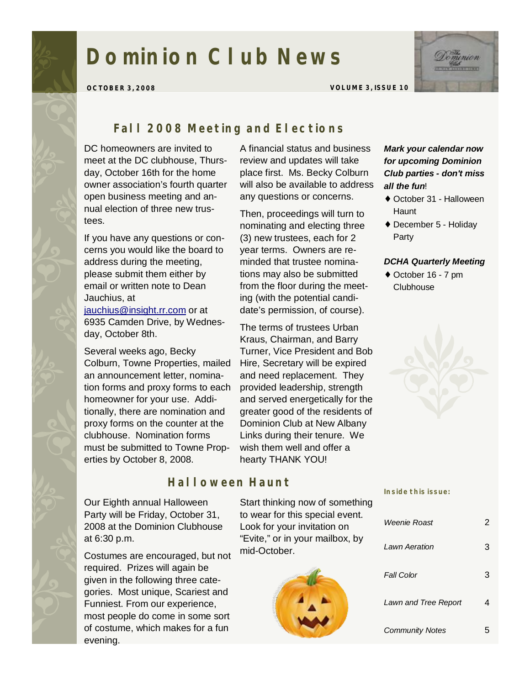# **Dominion Club News**



**OCTOBER 3, 2008 VOLUME 3, ISSUE 10** 

## *Fall 2008 Meeting and Elections*

DC homeowners are invited to meet at the DC clubhouse, Thursday, October 16th for the home owner association's fourth quarter open business meeting and annual election of three new trustees.

If you have any questions or concerns you would like the board to address during the meeting, please submit them either by email or written note to Dean Jauchius, at

[jauchius@insight.rr.com](mailto:jauchius@insight.rr.com) or at 6935 Camden Drive, by Wednesday, October 8th.

Several weeks ago, Becky Colburn, Towne Properties, mailed an announcement letter, nomination forms and proxy forms to each homeowner for your use. Additionally, there are nomination and proxy forms on the counter at the clubhouse. Nomination forms must be submitted to Towne Properties by October 8, 2008.

Our Eighth annual Halloween Party will be Friday, October 31, 2008 at the Dominion Clubhouse at 6:30 p.m.

Costumes are encouraged, but not required. Prizes will again be given in the following three categories. Most unique, Scariest and Funniest. From our experience, most people do come in some sort of costume, which makes for a fun evening.

A financial status and business review and updates will take place first. Ms. Becky Colburn will also be available to address any questions or concerns.

Then, proceedings will turn to nominating and electing three (3) new trustees, each for 2 year terms. Owners are reminded that trustee nominations may also be submitted from the floor during the meeting (with the potential candidate's permission, of course).

The terms of trustees Urban Kraus, Chairman, and Barry Turner, Vice President and Bob Hire, Secretary will be expired and need replacement. They provided leadership, strength and served energetically for the greater good of the residents of Dominion Club at New Albany Links during their tenure. We wish them well and offer a hearty THANK YOU!

## *Halloween Haunt*

Start thinking now of something to wear for this special event. Look for your invitation on "Evite," or in your mailbox, by mid-October.



#### *Mark your calendar now for upcoming Dominion Club parties - don't miss all the fun*!

- ♦ October 31 Halloween **Haunt**
- ♦ December 5 Holiday Party

#### *DCHA Quarterly Meeting*

♦ October 16 - 7 pm Clubhouse



#### **Inside this issue:**

| Weenie Roast           |  |
|------------------------|--|
| I awn Aeration         |  |
| <b>Fall Color</b>      |  |
| Lawn and Tree Report   |  |
| <b>Community Notes</b> |  |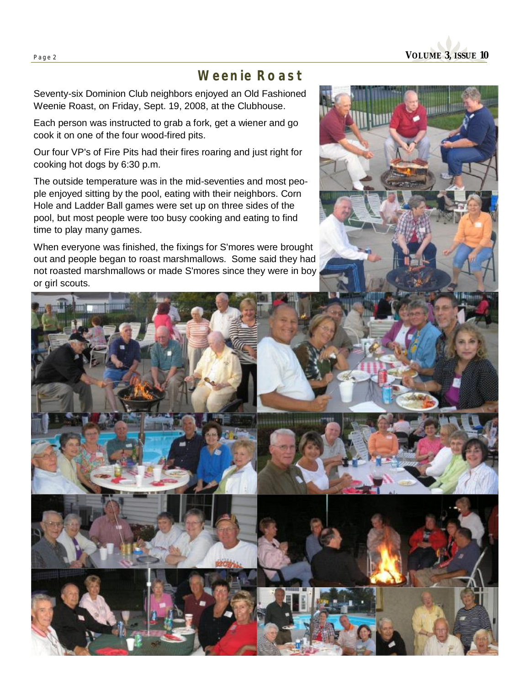# *Weenie Roast*

Seventy-six Dominion Club neighbors enjoyed an Old Fashioned Weenie Roast, on Friday, Sept. 19, 2008, at the Clubhouse.

Each person was instructed to grab a fork, get a wiener and go cook it on one of the four wood-fired pits.

Our four VP's of Fire Pits had their fires roaring and just right for cooking hot dogs by 6:30 p.m.

The outside temperature was in the mid-seventies and most people enjoyed sitting by the pool, eating with their neighbors. Corn Hole and Ladder Ball games were set up on three sides of the pool, but most people were too busy cooking and eating to find time to play many games.

When everyone was finished, the fixings for S'mores were brought out and people began to roast marshmallows. Some said they had not roasted marshmallows or made S'mores since they were in boy or girl scouts.



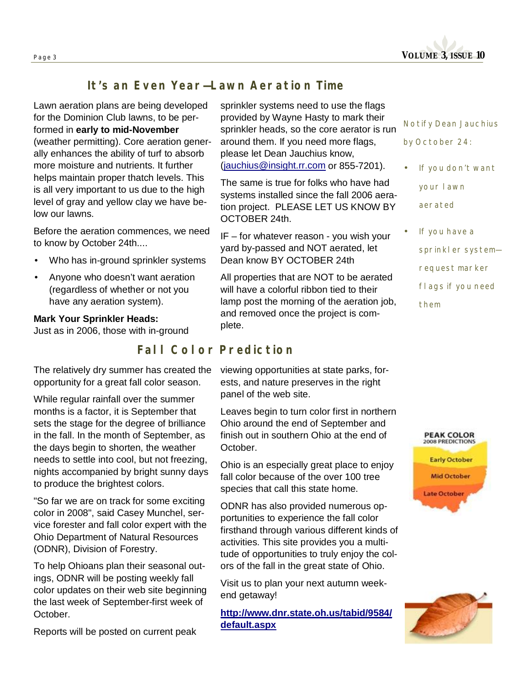

## *It's an Even Year—Lawn Aeration Time*

Lawn aeration plans are being developed for the Dominion Club lawns, to be performed in **early to mid-November** (weather permitting). Core aeration generally enhances the ability of turf to absorb more moisture and nutrients. It further helps maintain proper thatch levels. This is all very important to us due to the high level of gray and yellow clay we have below our lawns.

Before the aeration commences, we need to know by October 24th....

- Who has in-ground sprinkler systems
- Anyone who doesn't want aeration (regardless of whether or not you have any aeration system).

#### **Mark Your Sprinkler Heads:**

Just as in 2006, those with in-ground

sprinkler systems need to use the flags provided by Wayne Hasty to mark their sprinkler heads, so the core aerator is run around them. If you need more flags, please let Dean Jauchius know, [\(jauchius@insight.rr.com](mailto:jauchius@insight.rr.com) or 855-7201).

The same is true for folks who have had systems installed since the fall 2006 aeration project. PLEASE LET US KNOW BY OCTOBER 24th.

IF – for whatever reason - you wish your yard by-passed and NOT aerated, let Dean know BY OCTOBER 24th

All properties that are NOT to be aerated will have a colorful ribbon tied to their lamp post the morning of the aeration job, and removed once the project is complete.

## *Fall Color Prediction*

The relatively dry summer has created the opportunity for a great fall color season.

While regular rainfall over the summer months is a factor, it is September that sets the stage for the degree of brilliance in the fall. In the month of September, as the days begin to shorten, the weather needs to settle into cool, but not freezing, nights accompanied by bright sunny days to produce the brightest colors.

"So far we are on track for some exciting color in 2008", said Casey Munchel, service forester and fall color expert with the Ohio Department of Natural Resources (ODNR), Division of Forestry.

To help Ohioans plan their seasonal outings, ODNR will be posting weekly fall color updates on their web site beginning the last week of September-first week of October.

Reports will be posted on current peak

viewing opportunities at state parks, forests, and nature preserves in the right panel of the web site.

Leaves begin to turn color first in northern Ohio around the end of September and finish out in southern Ohio at the end of October.

Ohio is an especially great place to enjoy fall color because of the over 100 tree species that call this state home.

ODNR has also provided numerous opportunities to experience the fall color firsthand through various different kinds of activities. This site provides you a multitude of opportunities to truly enjoy the colors of the fall in the great state of Ohio.

Visit us to plan your next autumn weekend getaway!

**<http://www.dnr.state.oh.us/tabid/9584/> default.aspx**

*Notify Dean Jauchius by October 24:* 

- *If you don't want your lawn aerated*
- *If you have a sprinkler system request marker flags if you need them*



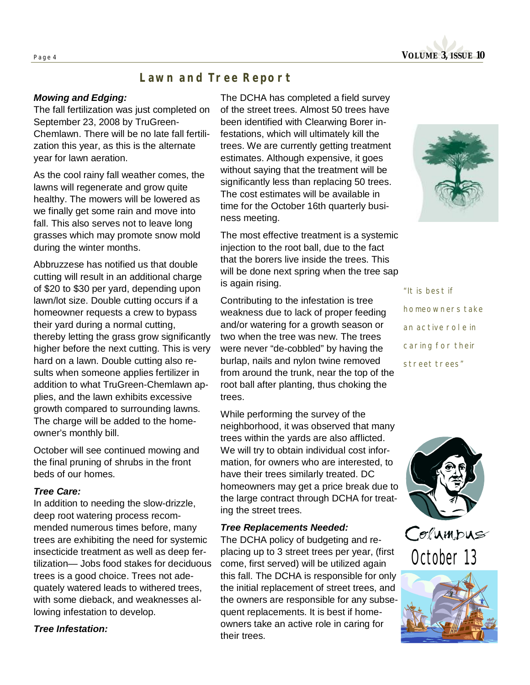

## *Lawn and Tree Report*

#### *Mowing and Edging:*

The fall fertilization was just completed on September 23, 2008 by TruGreen-Chemlawn. There will be no late fall fertilization this year, as this is the alternate year for lawn aeration.

As the cool rainy fall weather comes, the lawns will regenerate and grow quite healthy. The mowers will be lowered as we finally get some rain and move into fall. This also serves not to leave long grasses which may promote snow mold during the winter months.

Abbruzzese has notified us that double cutting will result in an additional charge of \$20 to \$30 per yard, depending upon lawn/lot size. Double cutting occurs if a homeowner requests a crew to bypass their yard during a normal cutting, thereby letting the grass grow significantly higher before the next cutting. This is very hard on a lawn. Double cutting also results when someone applies fertilizer in addition to what TruGreen-Chemlawn applies, and the lawn exhibits excessive growth compared to surrounding lawns. The charge will be added to the homeowner's monthly bill.

October will see continued mowing and the final pruning of shrubs in the front beds of our homes.

#### *Tree Care:*

In addition to needing the slow-drizzle, deep root watering process recommended numerous times before, many trees are exhibiting the need for systemic insecticide treatment as well as deep fertilization— Jobs food stakes for deciduous trees is a good choice. Trees not adequately watered leads to withered trees, with some dieback, and weaknesses allowing infestation to develop.

*Tree Infestation:*

The DCHA has completed a field survey of the street trees. Almost 50 trees have been identified with Clearwing Borer infestations, which will ultimately kill the trees. We are currently getting treatment estimates. Although expensive, it goes without saying that the treatment will be significantly less than replacing 50 trees. The cost estimates will be available in time for the October 16th quarterly business meeting.

The most effective treatment is a systemic injection to the root ball, due to the fact that the borers live inside the trees. This will be done next spring when the tree sap is again rising.

Contributing to the infestation is tree weakness due to lack of proper feeding and/or watering for a growth season or two when the tree was new. The trees were never "de-cobbled" by having the burlap, nails and nylon twine removed from around the trunk, near the top of the root ball after planting, thus choking the trees.

While performing the survey of the neighborhood, it was observed that many trees within the yards are also afflicted. We will try to obtain individual cost information, for owners who are interested, to have their trees similarly treated. DC homeowners may get a price break due to the large contract through DCHA for treating the street trees.

#### *Tree Replacements Needed:*

The DCHA policy of budgeting and replacing up to 3 street trees per year, (first come, first served) will be utilized again this fall. The DCHA is responsible for only the initial replacement of street trees, and the owners are responsible for any subsequent replacements. It is best if homeowners take an active role in caring for their trees.



*"It is best if homeowners take an active role in caring for their street trees"* 



Columbus October 13